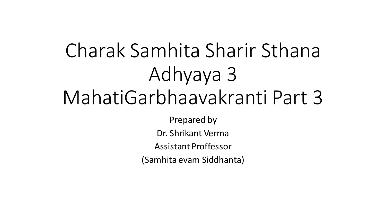# Charak Samhita Sharir Sthana Adhyaya 3 MahatiGarbhaavakranti Part 3

Prepared by

Dr. Shrikant Verma

Assistant Proffessor

(Samhita evam Siddhanta)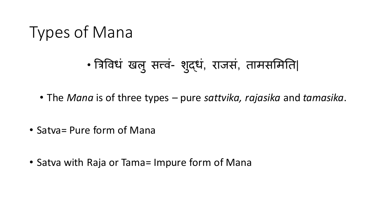## Types of Mana

## • त्रिविधं खलु सत्त्वं- शुद्धं, राजसं, तामसमिति|

- The *Mana* is of three types pure *sattvika, rajasika* and *tamasika*.
- Satva= Pure form of Mana
- Satva with Raja or Tama= Impure form of Mana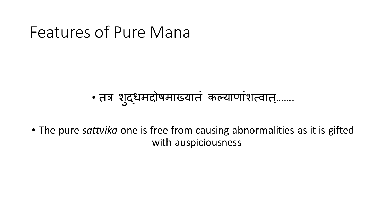## Features of Pure Mana

## • तत्रं शुद्धमदोषमाख्यातं कल्याणांशत्वात्.......

• The pure *sattvika* one is free from causing abnormalities as it is gifted with auspiciousness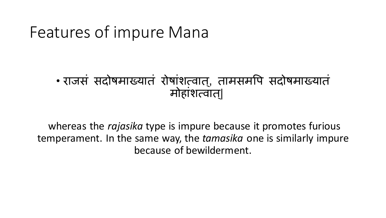## Features of impure Mana

#### • राजसं सदोषमाख्यातं रोषांशत्िात्, तामसमवि सदोषमाख्यातं मोहांशत्वात|

whereas the *rajasika* type is impure because it promotes furious temperament. In the same way, the *tamasika* one is similarly impure because of bewilderment.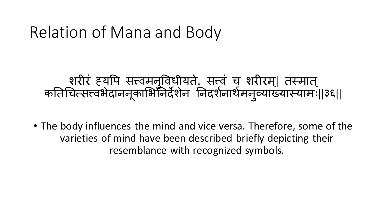## Relation of Mana and Body

### शरीरं ह्यपि सत्त्वमनुविधीयते, सत्त्वं च शरीरम्| तस्मात् कतिचित्सत्त्वभैदाननूकाभिनिर्देशेन निदर्शनार्थमनुव्याख्यास्यामः||३६||

• The body influences the mind and vice versa. Therefore, some of the varieties of mind have been described briefly depicting their resemblance with recognized symbols.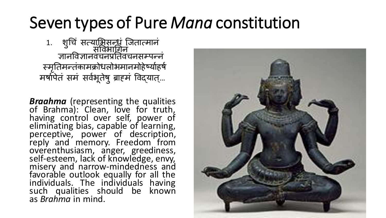## Seven types of Pure *Mana* constitution

1. श ु चचं सत्यामभसन्धं जजतात्मानं संविभाचिनं ज्ञानविज्ञानिचनप्रततिचनसम्िन्नं स्मृतिमन्तकामक्रोधलोभमानमोहेष्योहर्षे मर्षापेतं समं सर्वभूतेषु ब्राहमं विद्यात्...

*Braahma* (representing the qualities of Brahma): Clean, love for truth, having control over self, power of eliminating bias, capable of learning, perceptive, power of description, reply and memory. Freedom from overenthusiasm, anger, greediness, self-esteem, lack of knowledge, envy, misery and narrow-mindedness and favorable outlook equally for all the individuals. The individuals having such qualities should be known as *Brahma* in mind.

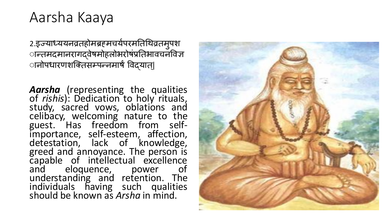### Aarsha Kaaya

2.इज्याध्ययनव्रतहोमब्रहमचर्यपरमतिथिव्रतमुपश ान्तमदमानरागदवेषमोहलोभरोषंप्रतिभावचनविज्ञ ानोपधारणशक्तिसम्पन्नमार्षं विदयात|

*Aarsha* (representing the qualities of *rishis*): Dedication to holy rituals, study, sacred vows, oblations and celibacy, welcoming nature to the guest. Has freedom from selfimportance, self-esteem, affection, detestation, lack of knowledge, greed and annoyance. The person is capable of intellectual excellence and eloquence, power of understanding and retention. The individuals having such qualities should be known as *Arsha* in mind.

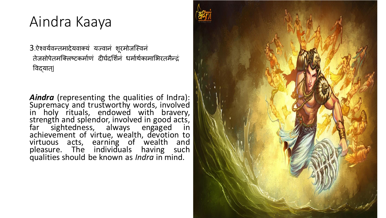## Aindra Kaaya

3.ऐश्वर्यवन्तमादेयवाक्यं यज्वानं शूरमोजस्विनं तेजसोपेतमक्लिष्टकर्माणं दीर्घदर्शिनं धर्मार्थकामाभिरतमैन्दं विद्यात्|

*Aindra* (representing the qualities of Indra): Supremacy and trustworthy words, involved in holy rituals, endowed with bravery, strength and splendor, involved in good acts, far sightedness, always engaged in achievement of virtue, wealth, devotion to virtuous acts, earning of wealth and pleasure. The individuals having such qualities should be known as *Indra* in mind.

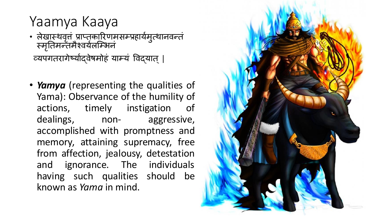### Yaamya Kaaya

- लेखास्थवृत्तं प्राप्तकारिणमसम्प्रहायेमुत्थानवन्तं स्मृतिमन्तमैश्वयेलोम्भिन व्यपगतरागेष्यादवेषमोहं याम्यं विदयात् |
- *Yamya* (representing the qualities of Yama): Observance of the humility of actions, timely instigation of dealings, non- aggressive, accomplished with promptness and memory, attaining supremacy, free from affection, jealousy, detestation and ignorance. The individuals having such qualities should be known as *Yama* in mind.

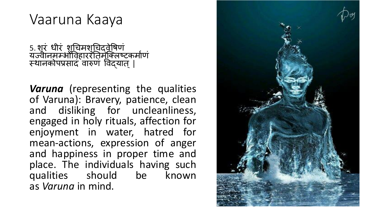## Vaaruna Kaaya

5. शूरं धीरं शचिमशचिद्वेषिणं यज्वीनमम्भोविहाररतिमौक्लष्टकमोण स्थानकोपप्रसादं वारुणं विद्यात् |

*Varuna* (representing the qualities of Varuna): Bravery, patience, clean and disliking for uncleanliness, engaged in holy rituals, affection for enjoyment in water, hatred for mean-actions, expression of anger and happiness in proper time and place. The individuals having such qualities should be known as *Varuna* in mind.

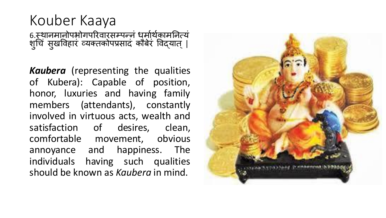### Kouber Kaaya 6.स्थानमानोपभोगपरिवारसम्पन्नं धुर्मार्थकामनित्यं शुचि सुर्खविहारं व्यक्तकोपप्रसादं कौबेरं विद्यात् |

*Kaubera* (representing the qualities of Kubera): Capable of position, honor, luxuries and having family members (attendants), constantly involved in virtuous acts, wealth and satisfaction of desires, clean, comfortable movement, obvious annoyance and happiness. The individuals having such qualities should be known as *Kaubera* in mind.

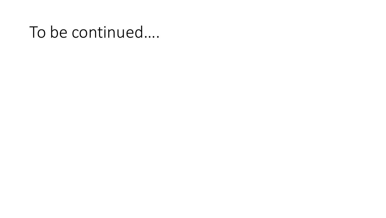## To be continued….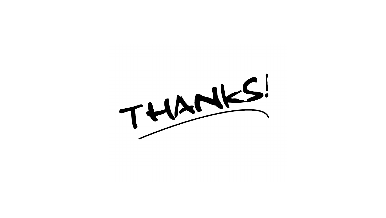